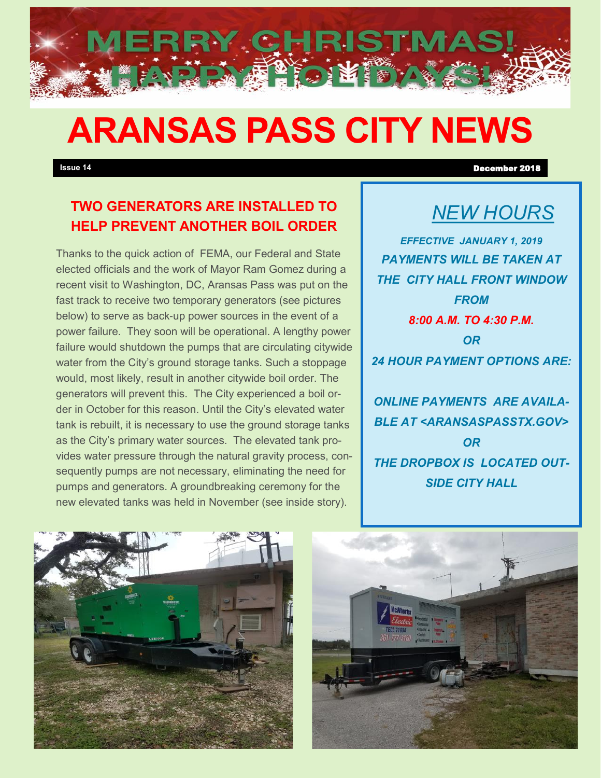# **ARANSAS PASS CITY NEWS**

"整理"的原因。

**MERRY CHRISTMA!** 

## **TWO GENERATORS ARE INSTALLED TO HELP PREVENT ANOTHER BOIL ORDER**

Thanks to the quick action of FEMA, our Federal and State elected officials and the work of Mayor Ram Gomez during a recent visit to Washington, DC, Aransas Pass was put on the fast track to receive two temporary generators (see pictures below) to serve as back-up power sources in the event of a power failure. They soon will be operational. A lengthy power failure would shutdown the pumps that are circulating citywide water from the City's ground storage tanks. Such a stoppage would, most likely, result in another citywide boil order. The generators will prevent this. The City experienced a boil order in October for this reason. Until the City's elevated water tank is rebuilt, it is necessary to use the ground storage tanks as the City's primary water sources. The elevated tank provides water pressure through the natural gravity process, consequently pumps are not necessary, eliminating the need for pumps and generators. A groundbreaking ceremony for the new elevated tanks was held in November (see inside story).

# *NEW HOURS*

*EFFECTIVE JANUARY 1, 2019 PAYMENTS WILL BE TAKEN AT THE CITY HALL FRONT WINDOW FROM 8:00 A.M. TO 4:30 P.M. OR 24 HOUR PAYMENT OPTIONS ARE:* 

*ONLINE PAYMENTS ARE AVAILA-BLE AT <ARANSASPASSTX.GOV> OR THE DROPBOX IS LOCATED OUT-SIDE CITY HALL* 



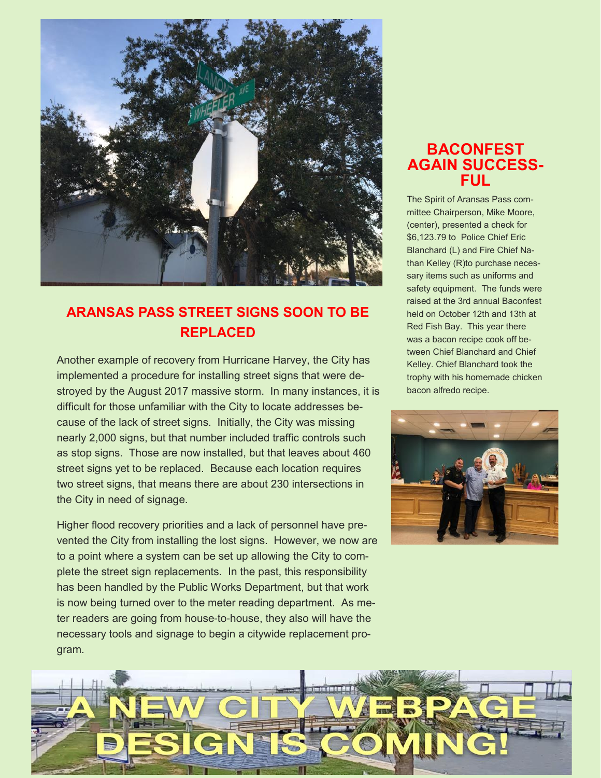

### **ARANSAS PASS STREET SIGNS SOON TO BE REPLACED**

Another example of recovery from Hurricane Harvey, the City has implemented a procedure for installing street signs that were destroyed by the August 2017 massive storm. In many instances, it is difficult for those unfamiliar with the City to locate addresses because of the lack of street signs. Initially, the City was missing nearly 2,000 signs, but that number included traffic controls such as stop signs. Those are now installed, but that leaves about 460 street signs yet to be replaced. Because each location requires two street signs, that means there are about 230 intersections in the City in need of signage.

Higher flood recovery priorities and a lack of personnel have prevented the City from installing the lost signs. However, we now are to a point where a system can be set up allowing the City to complete the street sign replacements. In the past, this responsibility has been handled by the Public Works Department, but that work is now being turned over to the meter reading department. As meter readers are going from house-to-house, they also will have the necessary tools and signage to begin a citywide replacement program.

#### **BACONFEST AGAIN SUCCESS-FUL**

The Spirit of Aransas Pass committee Chairperson, Mike Moore, (center), presented a check for \$6,123.79 to Police Chief Eric Blanchard (L) and Fire Chief Nathan Kelley (R)to purchase necessary items such as uniforms and safety equipment. The funds were raised at the 3rd annual Baconfest held on October 12th and 13th at Red Fish Bay. This year there was a bacon recipe cook off between Chief Blanchard and Chief Kelley. Chief Blanchard took the trophy with his homemade chicken bacon alfredo recipe.



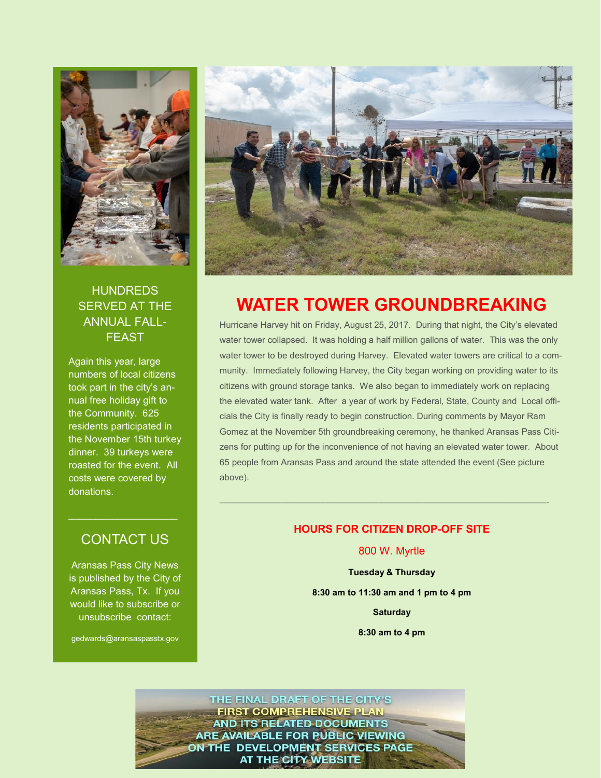

#### **HUNDREDS** SERVED AT THE ANNUAL FALL-FEAST

Again this year, large numbers of local citizens took part in the city's annual free holiday gift to the Community. 625 residents participated in the November 15th turkey dinner. 39 turkeys were roasted for the event. All costs were covered by donations.

#### CONTACT US

Aransas Pass City News is published by the City of Aransas Pass, Tx. If you would like to subscribe or unsubscribe contact:

gedwards@aransaspasstx.gov



## **WATER TOWER GROUNDBREAKING**

Hurricane Harvey hit on Friday, August 25, 2017. During that night, the City's elevated water tower collapsed. It was holding a half million gallons of water. This was the only water tower to be destroyed during Harvey. Elevated water towers are critical to a community. Immediately following Harvey, the City began working on providing water to its citizens with ground storage tanks. We also began to immediately work on replacing the elevated water tank. After a year of work by Federal, State, County and Local officials the City is finally ready to begin construction. During comments by Mayor Ram Gomez at the November 5th groundbreaking ceremony, he thanked Aransas Pass Citizens for putting up for the inconvenience of not having an elevated water tower. About 65 people from Aransas Pass and around the state attended the event (See picture above).

#### **HOURS FOR CITIZEN DROP-OFF SITE**

—————————————————————————————————————-

800 W. Myrtle

**Tuesday & Thursday 8:30 am to 11:30 am and 1 pm to 4 pm Saturday 8:30 am to 4 pm**